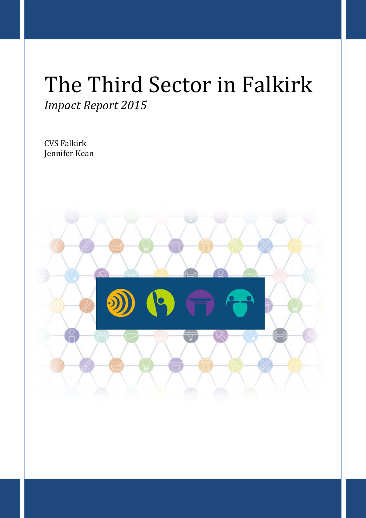# The Third Sector in Falkirk *Impact Report 2015*

CVS Falkirk Jennifer Kean

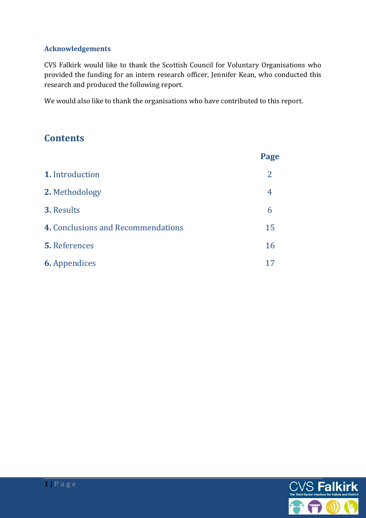#### **Acknowledgements**

CVS Falkirk would like to thank the Scottish Council for Voluntary Organisations who provided the funding for an intern research officer, Jennifer Kean, who conducted this research and produced the following report.

We would also like to thank the organisations who have contributed to this report.

# **Contents**

|                                    | Page |
|------------------------------------|------|
| 1. Introduction                    | 2    |
| 2. Methodology                     | 4    |
| <b>3. Results</b>                  | 6    |
| 4. Conclusions and Recommendations | 15   |
| <b>5.</b> References               | 16   |
| <b>6.</b> Appendices               |      |

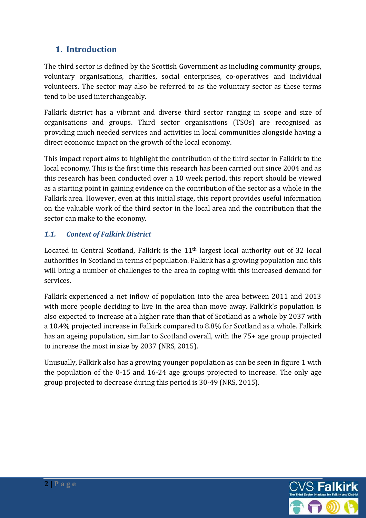# **1. Introduction**

The third sector is defined by the Scottish Government as including community groups, voluntary organisations, charities, social enterprises, co-operatives and individual volunteers. The sector may also be referred to as the voluntary sector as these terms tend to be used interchangeably.

Falkirk district has a vibrant and diverse third sector ranging in scope and size of organisations and groups. Third sector organisations (TSOs) are recognised as providing much needed services and activities in local communities alongside having a direct economic impact on the growth of the local economy.

This impact report aims to highlight the contribution of the third sector in Falkirk to the local economy. This is the first time this research has been carried out since 2004 and as this research has been conducted over a 10 week period, this report should be viewed as a starting point in gaining evidence on the contribution of the sector as a whole in the Falkirk area. However, even at this initial stage, this report provides useful information on the valuable work of the third sector in the local area and the contribution that the sector can make to the economy.

## *1.1. Context of Falkirk District*

Located in Central Scotland, Falkirk is the 11th largest local authority out of 32 local authorities in Scotland in terms of population. Falkirk has a growing population and this will bring a number of challenges to the area in coping with this increased demand for services.

Falkirk experienced a net inflow of population into the area between 2011 and 2013 with more people deciding to live in the area than move away. Falkirk's population is also expected to increase at a higher rate than that of Scotland as a whole by 2037 with a 10.4% projected increase in Falkirk compared to 8.8% for Scotland as a whole. Falkirk has an ageing population, similar to Scotland overall, with the 75+ age group projected to increase the most in size by 2037 (NRS, 2015).

Unusually, Falkirk also has a growing younger population as can be seen in figure 1 with the population of the 0-15 and 16-24 age groups projected to increase. The only age group projected to decrease during this period is 30-49 (NRS, 2015).

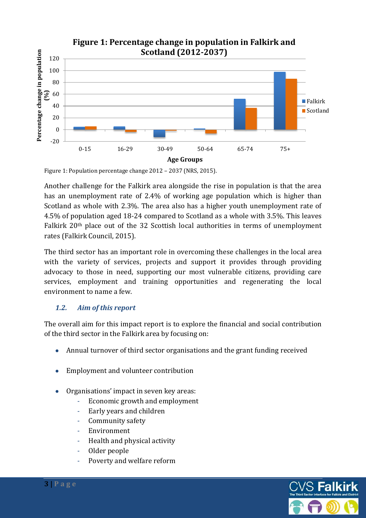

Figure 1: Population percentage change 2012 – 2037 (NRS, 2015).

Another challenge for the Falkirk area alongside the rise in population is that the area has an unemployment rate of 2.4% of working age population which is higher than Scotland as whole with 2.3%. The area also has a higher youth unemployment rate of 4.5% of population aged 18-24 compared to Scotland as a whole with 3.5%. This leaves Falkirk 20th place out of the 32 Scottish local authorities in terms of unemployment rates (Falkirk Council, 2015).

The third sector has an important role in overcoming these challenges in the local area with the variety of services, projects and support it provides through providing advocacy to those in need, supporting our most vulnerable citizens, providing care services, employment and training opportunities and regenerating the local environment to name a few.

#### *1.2. Aim of this report*

The overall aim for this impact report is to explore the financial and social contribution of the third sector in the Falkirk area by focusing on:

- Annual turnover of third sector organisations and the grant funding received
- Employment and volunteer contribution
- Organisations' impact in seven key areas:
	- Economic growth and employment
	- Early years and children
	- Community safety
	- Environment
	- Health and physical activity
	- Older people
	- Poverty and welfare reform



**3 | P a g e**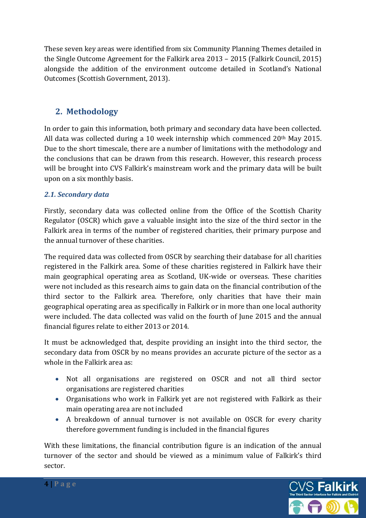These seven key areas were identified from six Community Planning Themes detailed in the Single Outcome Agreement for the Falkirk area 2013 – 2015 (Falkirk Council, 2015) alongside the addition of the environment outcome detailed in Scotland's National Outcomes (Scottish Government, 2013).

# **2. Methodology**

In order to gain this information, both primary and secondary data have been collected. All data was collected during a 10 week internship which commenced 20th May 2015. Due to the short timescale, there are a number of limitations with the methodology and the conclusions that can be drawn from this research. However, this research process will be brought into CVS Falkirk's mainstream work and the primary data will be built upon on a six monthly basis.

#### *2.1. Secondary data*

Firstly, secondary data was collected online from the Office of the Scottish Charity Regulator (OSCR) which gave a valuable insight into the size of the third sector in the Falkirk area in terms of the number of registered charities, their primary purpose and the annual turnover of these charities.

The required data was collected from OSCR by searching their database for all charities registered in the Falkirk area. Some of these charities registered in Falkirk have their main geographical operating area as Scotland, UK-wide or overseas. These charities were not included as this research aims to gain data on the financial contribution of the third sector to the Falkirk area. Therefore, only charities that have their main geographical operating area as specifically in Falkirk or in more than one local authority were included. The data collected was valid on the fourth of June 2015 and the annual financial figures relate to either 2013 or 2014.

It must be acknowledged that, despite providing an insight into the third sector, the secondary data from OSCR by no means provides an accurate picture of the sector as a whole in the Falkirk area as:

- Not all organisations are registered on OSCR and not all third sector organisations are registered charities
- Organisations who work in Falkirk yet are not registered with Falkirk as their main operating area are not included
- A breakdown of annual turnover is not available on OSCR for every charity therefore government funding is included in the financial figures

With these limitations, the financial contribution figure is an indication of the annual turnover of the sector and should be viewed as a minimum value of Falkirk's third sector.

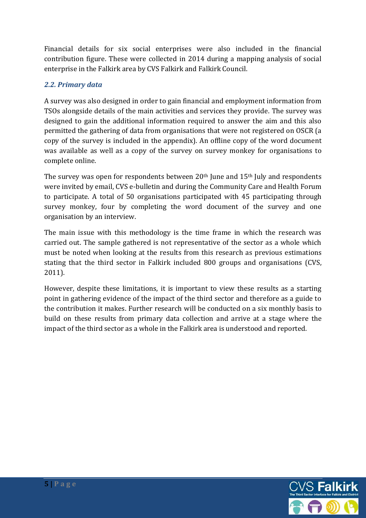Financial details for six social enterprises were also included in the financial contribution figure. These were collected in 2014 during a mapping analysis of social enterprise in the Falkirk area by CVS Falkirk and Falkirk Council.

#### *2.2. Primary data*

A survey was also designed in order to gain financial and employment information from TSOs alongside details of the main activities and services they provide. The survey was designed to gain the additional information required to answer the aim and this also permitted the gathering of data from organisations that were not registered on OSCR (a copy of the survey is included in the appendix). An offline copy of the word document was available as well as a copy of the survey on survey monkey for organisations to complete online.

The survey was open for respondents between  $20<sup>th</sup>$  June and  $15<sup>th</sup>$  July and respondents were invited by email, CVS e-bulletin and during the Community Care and Health Forum to participate. A total of 50 organisations participated with 45 participating through survey monkey, four by completing the word document of the survey and one organisation by an interview.

The main issue with this methodology is the time frame in which the research was carried out. The sample gathered is not representative of the sector as a whole which must be noted when looking at the results from this research as previous estimations stating that the third sector in Falkirk included 800 groups and organisations (CVS, 2011).

However, despite these limitations, it is important to view these results as a starting point in gathering evidence of the impact of the third sector and therefore as a guide to the contribution it makes. Further research will be conducted on a six monthly basis to build on these results from primary data collection and arrive at a stage where the impact of the third sector as a whole in the Falkirk area is understood and reported.

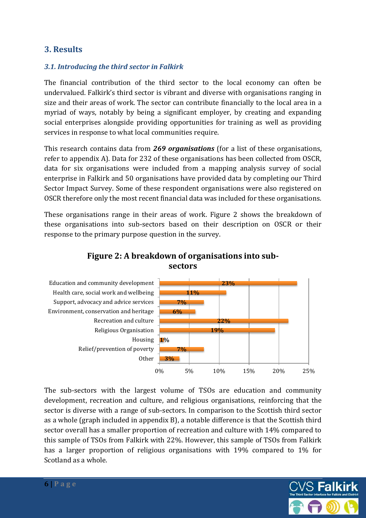# **3. Results**

#### *3.1. Introducing the third sector in Falkirk*

The financial contribution of the third sector to the local economy can often be undervalued. Falkirk's third sector is vibrant and diverse with organisations ranging in size and their areas of work. The sector can contribute financially to the local area in a myriad of ways, notably by being a significant employer, by creating and expanding social enterprises alongside providing opportunities for training as well as providing services in response to what local communities require.

This research contains data from *269 organisations* (for a list of these organisations, refer to appendix A). Data for 232 of these organisations has been collected from OSCR, data for six organisations were included from a mapping analysis survey of social enterprise in Falkirk and 50 organisations have provided data by completing our Third Sector Impact Survey. Some of these respondent organisations were also registered on OSCR therefore only the most recent financial data was included for these organisations.

These organisations range in their areas of work. Figure 2 shows the breakdown of these organisations into sub-sectors based on their description on OSCR or their response to the primary purpose question in the survey.



**Figure 2: A breakdown of organisations into subsectors** 

The sub-sectors with the largest volume of TSOs are education and community development, recreation and culture, and religious organisations, reinforcing that the sector is diverse with a range of sub-sectors. In comparison to the Scottish third sector as a whole (graph included in appendix B), a notable difference is that the Scottish third sector overall has a smaller proportion of recreation and culture with 14% compared to this sample of TSOs from Falkirk with 22%. However, this sample of TSOs from Falkirk has a larger proportion of religious organisations with 19% compared to 1% for Scotland as a whole.

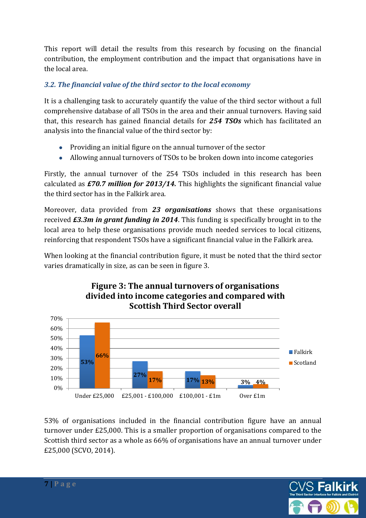This report will detail the results from this research by focusing on the financial contribution, the employment contribution and the impact that organisations have in the local area.

#### *3.2. The financial value of the third sector to the local economy*

It is a challenging task to accurately quantify the value of the third sector without a full comprehensive database of all TSOs in the area and their annual turnovers. Having said that, this research has gained financial details for *254 TSOs* which has facilitated an analysis into the financial value of the third sector by:

- Providing an initial figure on the annual turnover of the sector
- Allowing annual turnovers of TSOs to be broken down into income categories

Firstly, the annual turnover of the 254 TSOs included in this research has been calculated as *£70.7 million for 2013/14.* This highlights the significant financial value the third sector has in the Falkirk area.

Moreover, data provided from *23 organisations* shows that these organisations received *£3.3m in grant funding in 2014*. This funding is specifically brought in to the local area to help these organisations provide much needed services to local citizens, reinforcing that respondent TSOs have a significant financial value in the Falkirk area.

When looking at the financial contribution figure, it must be noted that the third sector varies dramatically in size, as can be seen in figure 3.



53% of organisations included in the financial contribution figure have an annual turnover under £25,000. This is a smaller proportion of organisations compared to the Scottish third sector as a whole as 66% of organisations have an annual turnover under £25,000 (SCVO, 2014).

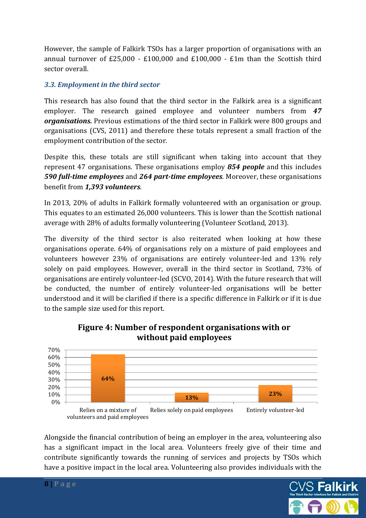However, the sample of Falkirk TSOs has a larger proportion of organisations with an annual turnover of £25,000 - £100,000 and £100,000 - £1m than the Scottish third sector overall.

#### *3.3. Employment in the third sector*

This research has also found that the third sector in the Falkirk area is a significant employer. The research gained employee and volunteer numbers from *47 organisations.* Previous estimations of the third sector in Falkirk were 800 groups and organisations (CVS, 2011) and therefore these totals represent a small fraction of the employment contribution of the sector.

Despite this, these totals are still significant when taking into account that they represent 47 organisations. These organisations employ *854 people* and this includes *590 full-time employees* and *264 part-time employees*. Moreover, these organisations benefit from *1,393 volunteers*.

In 2013, 20% of adults in Falkirk formally volunteered with an organisation or group. This equates to an estimated 26,000 volunteers. This is lower than the Scottish national average with 28% of adults formally volunteering (Volunteer Scotland, 2013).

The diversity of the third sector is also reiterated when looking at how these organisations operate. 64% of organisations rely on a mixture of paid employees and volunteers however 23% of organisations are entirely volunteer-led and 13% rely solely on paid employees. However, overall in the third sector in Scotland, 73% of organisations are entirely volunteer-led (SCVO, 2014). With the future research that will be conducted, the number of entirely volunteer-led organisations will be better understood and it will be clarified if there is a specific difference in Falkirk or if it is due to the sample size used for this report.



## **Figure 4: Number of respondent organisations with or without paid employees**

Alongside the financial contribution of being an employer in the area, volunteering also has a significant impact in the local area. Volunteers freely give of their time and contribute significantly towards the running of services and projects by TSOs which have a positive impact in the local area. Volunteering also provides individuals with the

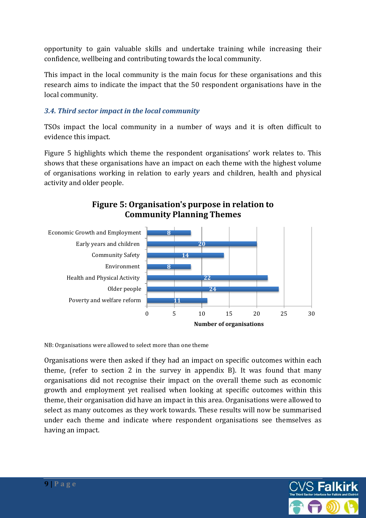opportunity to gain valuable skills and undertake training while increasing their confidence, wellbeing and contributing towards the local community.

This impact in the local community is the main focus for these organisations and this research aims to indicate the impact that the 50 respondent organisations have in the local community.

#### *3.4. Third sector impact in the local community*

TSOs impact the local community in a number of ways and it is often difficult to evidence this impact.

Figure 5 highlights which theme the respondent organisations' work relates to. This shows that these organisations have an impact on each theme with the highest volume of organisations working in relation to early years and children, health and physical activity and older people.





NB: Organisations were allowed to select more than one theme

Organisations were then asked if they had an impact on specific outcomes within each theme, (refer to section 2 in the survey in appendix B). It was found that many organisations did not recognise their impact on the overall theme such as economic growth and employment yet realised when looking at specific outcomes within this theme, their organisation did have an impact in this area. Organisations were allowed to select as many outcomes as they work towards. These results will now be summarised under each theme and indicate where respondent organisations see themselves as having an impact.

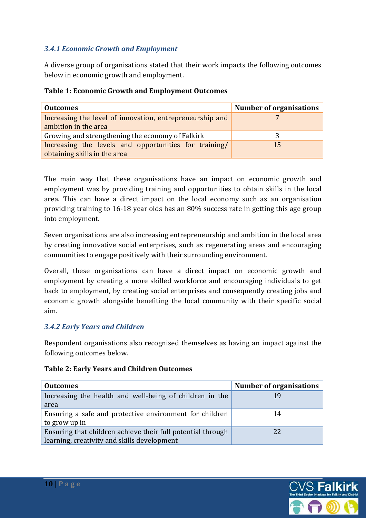#### *3.4.1 Economic Growth and Employment*

A diverse group of organisations stated that their work impacts the following outcomes below in economic growth and employment.

| <b>Outcomes</b>                                                                       | <b>Number of organisations</b> |
|---------------------------------------------------------------------------------------|--------------------------------|
| Increasing the level of innovation, entrepreneurship and<br>ambition in the area      |                                |
| Growing and strengthening the economy of Falkirk                                      |                                |
| Increasing the levels and opportunities for training/<br>obtaining skills in the area | 15                             |

#### **Table 1: Economic Growth and Employment Outcomes**

The main way that these organisations have an impact on economic growth and employment was by providing training and opportunities to obtain skills in the local area. This can have a direct impact on the local economy such as an organisation providing training to 16-18 year olds has an 80% success rate in getting this age group into employment.

Seven organisations are also increasing entrepreneurship and ambition in the local area by creating innovative social enterprises, such as regenerating areas and encouraging communities to engage positively with their surrounding environment.

Overall, these organisations can have a direct impact on economic growth and employment by creating a more skilled workforce and encouraging individuals to get back to employment, by creating social enterprises and consequently creating jobs and economic growth alongside benefiting the local community with their specific social aim.

#### *3.4.2 Early Years and Children*

Respondent organisations also recognised themselves as having an impact against the following outcomes below.

| <b>Outcomes</b>                                             | <b>Number of organisations</b> |
|-------------------------------------------------------------|--------------------------------|
| Increasing the health and well-being of children in the     | 19                             |
| area                                                        |                                |
| Ensuring a safe and protective environment for children     | 14                             |
| to grow up in                                               |                                |
| Ensuring that children achieve their full potential through | 22                             |
| learning, creativity and skills development                 |                                |

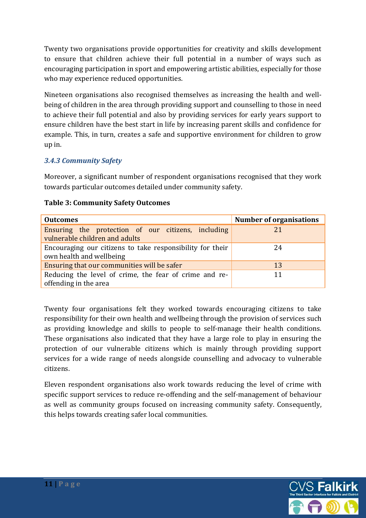Twenty two organisations provide opportunities for creativity and skills development to ensure that children achieve their full potential in a number of ways such as encouraging participation in sport and empowering artistic abilities, especially for those who may experience reduced opportunities.

Nineteen organisations also recognised themselves as increasing the health and wellbeing of children in the area through providing support and counselling to those in need to achieve their full potential and also by providing services for early years support to ensure children have the best start in life by increasing parent skills and confidence for example. This, in turn, creates a safe and supportive environment for children to grow up in.

#### *3.4.3 Community Safety*

Moreover, a significant number of respondent organisations recognised that they work towards particular outcomes detailed under community safety.

| <b>Outcomes</b>                                                                       | <b>Number of organisations</b> |
|---------------------------------------------------------------------------------------|--------------------------------|
| Ensuring the protection of our citizens, including<br>vulnerable children and adults  | 21                             |
| Encouraging our citizens to take responsibility for their<br>own health and wellbeing | 24                             |
| Ensuring that our communities will be safer                                           | 13                             |
| Reducing the level of crime, the fear of crime and re-<br>offending in the area       | 11                             |

#### **Table 3: Community Safety Outcomes**

Twenty four organisations felt they worked towards encouraging citizens to take responsibility for their own health and wellbeing through the provision of services such as providing knowledge and skills to people to self-manage their health conditions. These organisations also indicated that they have a large role to play in ensuring the protection of our vulnerable citizens which is mainly through providing support services for a wide range of needs alongside counselling and advocacy to vulnerable citizens.

Eleven respondent organisations also work towards reducing the level of crime with specific support services to reduce re-offending and the self-management of behaviour as well as community groups focused on increasing community safety. Consequently, this helps towards creating safer local communities.

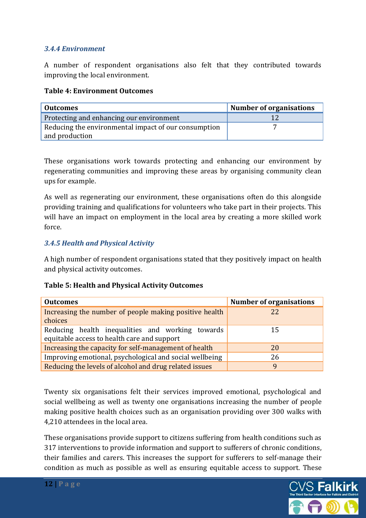#### *3.4.4 Environment*

A number of respondent organisations also felt that they contributed towards improving the local environment.

#### **Table 4: Environment Outcomes**

| <b>Outcomes</b>                                      | Number of organisations |
|------------------------------------------------------|-------------------------|
| Protecting and enhancing our environment             | 12                      |
| Reducing the environmental impact of our consumption |                         |
| and production                                       |                         |

These organisations work towards protecting and enhancing our environment by regenerating communities and improving these areas by organising community clean ups for example.

As well as regenerating our environment, these organisations often do this alongside providing training and qualifications for volunteers who take part in their projects. This will have an impact on employment in the local area by creating a more skilled work force.

#### *3.4.5 Health and Physical Activity*

A high number of respondent organisations stated that they positively impact on health and physical activity outcomes.

#### **Table 5: Health and Physical Activity Outcomes**

| <b>Outcomes</b>                                                                                 | <b>Number of organisations</b> |
|-------------------------------------------------------------------------------------------------|--------------------------------|
| Increasing the number of people making positive health<br>choices                               | 22                             |
| Reducing health inequalities and working towards<br>equitable access to health care and support | 15                             |
| Increasing the capacity for self-management of health                                           | 20                             |
| Improving emotional, psychological and social wellbeing                                         | 26                             |
| Reducing the levels of alcohol and drug related issues                                          | 9                              |

Twenty six organisations felt their services improved emotional, psychological and social wellbeing as well as twenty one organisations increasing the number of people making positive health choices such as an organisation providing over 300 walks with 4,210 attendees in the local area.

These organisations provide support to citizens suffering from health conditions such as 317 interventions to provide information and support to sufferers of chronic conditions, their families and carers. This increases the support for sufferers to self-manage their condition as much as possible as well as ensuring equitable access to support. These

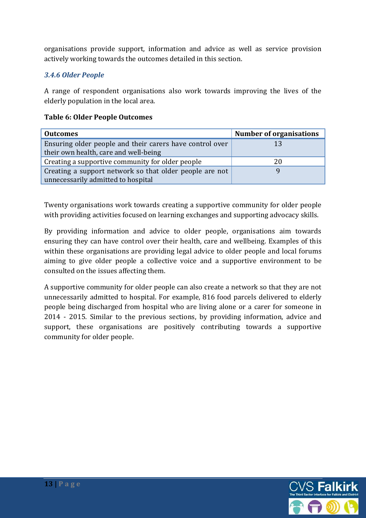organisations provide support, information and advice as well as service provision actively working towards the outcomes detailed in this section.

#### *3.4.6 Older People*

A range of respondent organisations also work towards improving the lives of the elderly population in the local area.

#### **Table 6: Older People Outcomes**

| <b>Outcomes</b>                                          | <b>Number of organisations</b> |
|----------------------------------------------------------|--------------------------------|
| Ensuring older people and their carers have control over | 13                             |
| their own health, care and well-being                    |                                |
| Creating a supportive community for older people         | 20                             |
| Creating a support network so that older people are not  |                                |
| unnecessarily admitted to hospital                       |                                |

Twenty organisations work towards creating a supportive community for older people with providing activities focused on learning exchanges and supporting advocacy skills.

By providing information and advice to older people, organisations aim towards ensuring they can have control over their health, care and wellbeing. Examples of this within these organisations are providing legal advice to older people and local forums aiming to give older people a collective voice and a supportive environment to be consulted on the issues affecting them.

A supportive community for older people can also create a network so that they are not unnecessarily admitted to hospital. For example, 816 food parcels delivered to elderly people being discharged from hospital who are living alone or a carer for someone in 2014 - 2015. Similar to the previous sections, by providing information, advice and support, these organisations are positively contributing towards a supportive community for older people.

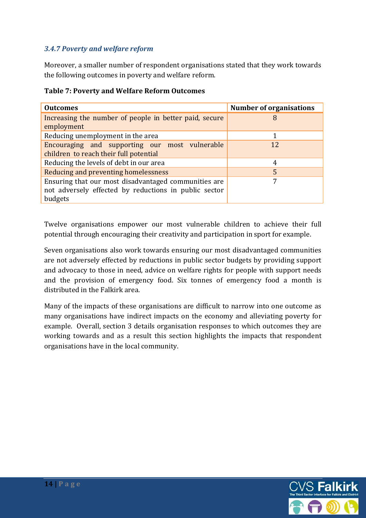#### *3.4.7 Poverty and welfare reform*

Moreover, a smaller number of respondent organisations stated that they work towards the following outcomes in poverty and welfare reform.

| <b>Outcomes</b>                                                                                                          | <b>Number of organisations</b> |
|--------------------------------------------------------------------------------------------------------------------------|--------------------------------|
| Increasing the number of people in better paid, secure<br>employment                                                     | 8                              |
| Reducing unemployment in the area                                                                                        |                                |
| Encouraging and supporting our most vulnerable<br>children to reach their full potential                                 | 12                             |
| Reducing the levels of debt in our area                                                                                  | 4                              |
| Reducing and preventing homelessness                                                                                     | 5                              |
| Ensuring that our most disadvantaged communities are<br>not adversely effected by reductions in public sector<br>budgets | 7                              |

#### **Table 7: Poverty and Welfare Reform Outcomes**

Twelve organisations empower our most vulnerable children to achieve their full potential through encouraging their creativity and participation in sport for example.

Seven organisations also work towards ensuring our most disadvantaged communities are not adversely effected by reductions in public sector budgets by providing support and advocacy to those in need, advice on welfare rights for people with support needs and the provision of emergency food. Six tonnes of emergency food a month is distributed in the Falkirk area.

Many of the impacts of these organisations are difficult to narrow into one outcome as many organisations have indirect impacts on the economy and alleviating poverty for example. Overall, section 3 details organisation responses to which outcomes they are working towards and as a result this section highlights the impacts that respondent organisations have in the local community.

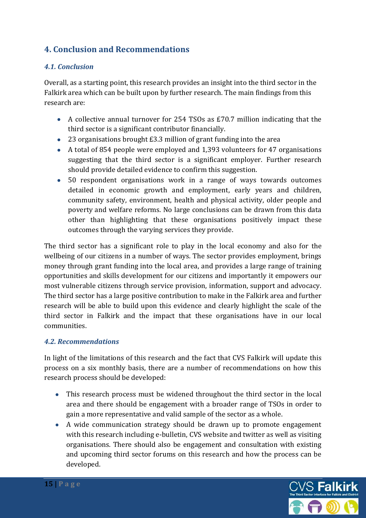# **4. Conclusion and Recommendations**

#### *4.1. Conclusion*

Overall, as a starting point, this research provides an insight into the third sector in the Falkirk area which can be built upon by further research. The main findings from this research are:

- A collective annual turnover for 254 TSOs as £70.7 million indicating that the third sector is a significant contributor financially.
- 23 organisations brought £3.3 million of grant funding into the area
- A total of 854 people were employed and 1,393 volunteers for 47 organisations suggesting that the third sector is a significant employer. Further research should provide detailed evidence to confirm this suggestion.
- 50 respondent organisations work in a range of ways towards outcomes detailed in economic growth and employment, early years and children, community safety, environment, health and physical activity, older people and poverty and welfare reforms. No large conclusions can be drawn from this data other than highlighting that these organisations positively impact these outcomes through the varying services they provide.

The third sector has a significant role to play in the local economy and also for the wellbeing of our citizens in a number of ways. The sector provides employment, brings money through grant funding into the local area, and provides a large range of training opportunities and skills development for our citizens and importantly it empowers our most vulnerable citizens through service provision, information, support and advocacy. The third sector has a large positive contribution to make in the Falkirk area and further research will be able to build upon this evidence and clearly highlight the scale of the third sector in Falkirk and the impact that these organisations have in our local communities.

#### *4.2. Recommendations*

In light of the limitations of this research and the fact that CVS Falkirk will update this process on a six monthly basis, there are a number of recommendations on how this research process should be developed:

- This research process must be widened throughout the third sector in the local area and there should be engagement with a broader range of TSOs in order to gain a more representative and valid sample of the sector as a whole.
- A wide communication strategy should be drawn up to promote engagement with this research including e-bulletin, CVS website and twitter as well as visiting organisations. There should also be engagement and consultation with existing and upcoming third sector forums on this research and how the process can be developed.

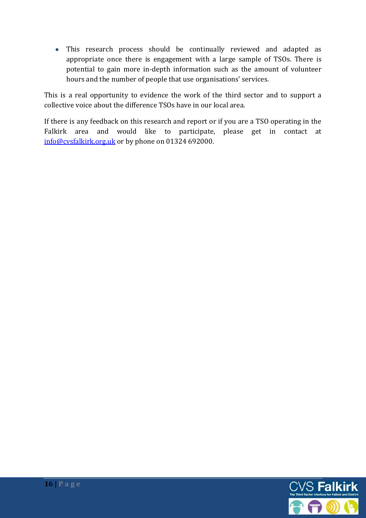This research process should be continually reviewed and adapted as appropriate once there is engagement with a large sample of TSOs. There is potential to gain more in-depth information such as the amount of volunteer hours and the number of people that use organisations' services.

This is a real opportunity to evidence the work of the third sector and to support a collective voice about the difference TSOs have in our local area.

If there is any feedback on this research and report or if you are a TSO operating in the Falkirk area and would like to participate, please get in contact at [info@cvsfalkirk.org.u](mailto:info@cvsfalkirk.org)k or by phone on 01324 692000.

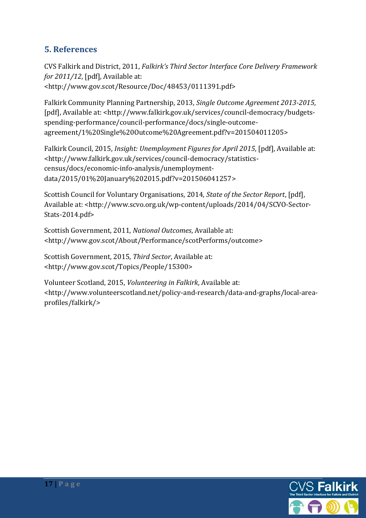# **5. References**

CVS Falkirk and District, 2011, *Falkirk's Third Sector Interface Core Delivery Framework for 2011/12*, [pdf], Available at: <http://www.gov.scot/Resource/Doc/48453/0111391.pdf>

Falkirk Community Planning Partnership, 2013, *Single Outcome Agreement 2013-2015*, [pdf], Available at: <http://www.falkirk.gov.uk/services/council-democracy/budgetsspending-performance/council-performance/docs/single-outcomeagreement/1%20Single%20Outcome%20Agreement.pdf?v=201504011205>

Falkirk Council, 2015, *Insight: Unemployment Figures for April 2015*, [pdf], Available at: <http://www.falkirk.gov.uk/services/council-democracy/statisticscensus/docs/economic-info-analysis/unemploymentdata/2015/01%20January%202015.pdf?v=201506041257>

Scottish Council for Voluntary Organisations, 2014, *State of the Sector Report*, [pdf], Available at: <http://www.scvo.org.uk/wp-content/uploads/2014/04/SCVO-Sector-Stats-2014.pdf>

Scottish Government, 2011, *National Outcomes*, Available at: <http://www.gov.scot/About/Performance/scotPerforms/outcome>

Scottish Government, 2015, *Third Sector*, Available at: <http://www.gov.scot/Topics/People/15300>

Volunteer Scotland, 2015, *Volunteering in Falkirk*, Available at: <http://www.volunteerscotland.net/policy-and-research/data-and-graphs/local-areaprofiles/falkirk/>

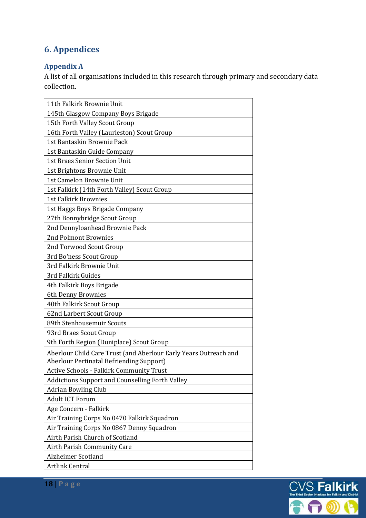# **6. Appendices**

# **Appendix A**

A list of all organisations included in this research through primary and secondary data collection.

| 11th Falkirk Brownie Unit                                        |
|------------------------------------------------------------------|
| 145th Glasgow Company Boys Brigade                               |
| 15th Forth Valley Scout Group                                    |
| 16th Forth Valley (Laurieston) Scout Group                       |
| 1st Bantaskin Brownie Pack                                       |
| 1st Bantaskin Guide Company                                      |
| <b>1st Braes Senior Section Unit</b>                             |
| 1st Brightons Brownie Unit                                       |
| 1st Camelon Brownie Unit                                         |
| 1st Falkirk (14th Forth Valley) Scout Group                      |
| <b>1st Falkirk Brownies</b>                                      |
| 1st Haggs Boys Brigade Company                                   |
| 27th Bonnybridge Scout Group                                     |
| 2nd Dennyloanhead Brownie Pack                                   |
| 2nd Polmont Brownies                                             |
| 2nd Torwood Scout Group                                          |
| 3rd Bo'ness Scout Group                                          |
| 3rd Falkirk Brownie Unit                                         |
| 3rd Falkirk Guides                                               |
| 4th Falkirk Boys Brigade                                         |
| 6th Denny Brownies                                               |
| 40th Falkirk Scout Group                                         |
| 62nd Larbert Scout Group                                         |
| 89th Stenhousemuir Scouts                                        |
| 93rd Braes Scout Group                                           |
| 9th Forth Region (Duniplace) Scout Group                         |
| Aberlour Child Care Trust (and Aberlour Early Years Outreach and |
| Aberlour Pertinatal Befriending Support)                         |
| <b>Active Schools - Falkirk Community Trust</b>                  |
| <b>Addictions Support and Counselling Forth Valley</b>           |
| <b>Adrian Bowling Club</b>                                       |
| <b>Adult ICT Forum</b>                                           |
| Age Concern - Falkirk                                            |
| Air Training Corps No 0470 Falkirk Squadron                      |
| Air Training Corps No 0867 Denny Squadron                        |
| Airth Parish Church of Scotland                                  |
| Airth Parish Community Care                                      |
| Alzheimer Scotland                                               |
| Artlink Central                                                  |

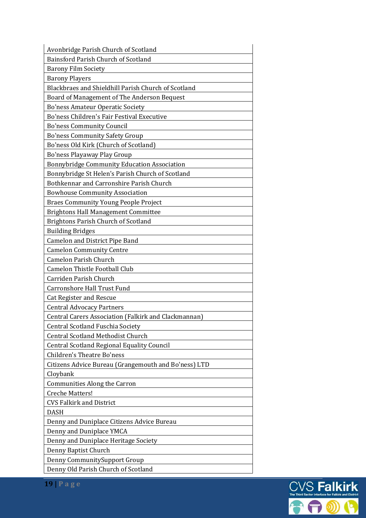| Avonbridge Parish Church of Scotland                 |
|------------------------------------------------------|
| Bainsford Parish Church of Scotland                  |
| <b>Barony Film Society</b>                           |
| <b>Barony Players</b>                                |
| Blackbraes and Shieldhill Parish Church of Scotland  |
| Board of Management of The Anderson Bequest          |
| <b>Bo'ness Amateur Operatic Society</b>              |
| Bo'ness Children's Fair Festival Executive           |
| <b>Bo'ness Community Council</b>                     |
| <b>Bo'ness Community Safety Group</b>                |
| Bo'ness Old Kirk (Church of Scotland)                |
| Bo'ness Playaway Play Group                          |
| Bonnybridge Community Education Association          |
| Bonnybridge St Helen's Parish Church of Scotland     |
| Bothkennar and Carronshire Parish Church             |
| <b>Bowhouse Community Association</b>                |
| <b>Braes Community Young People Project</b>          |
| <b>Brightons Hall Management Committee</b>           |
| Brightons Parish Church of Scotland                  |
| <b>Building Bridges</b>                              |
| <b>Camelon and District Pipe Band</b>                |
| <b>Camelon Community Centre</b>                      |
| <b>Camelon Parish Church</b>                         |
| <b>Camelon Thistle Football Club</b>                 |
| Carriden Parish Church                               |
| <b>Carronshore Hall Trust Fund</b>                   |
| <b>Cat Register and Rescue</b>                       |
| <b>Central Advocacy Partners</b>                     |
| Central Carers Association (Falkirk and Clackmannan) |
| Central Scotland Fuschia Society                     |
| <b>Central Scotland Methodist Church</b>             |
| <b>Central Scotland Regional Equality Council</b>    |
| Children's Theatre Bo'ness                           |
| Citizens Advice Bureau (Grangemouth and Bo'ness) LTD |
| Cloybank                                             |
| <b>Communities Along the Carron</b>                  |
| <b>Creche Matters!</b>                               |
| <b>CVS Falkirk and District</b>                      |
| <b>DASH</b>                                          |
| Denny and Duniplace Citizens Advice Bureau           |
| Denny and Duniplace YMCA                             |
| Denny and Duniplace Heritage Society                 |
| Denny Baptist Church                                 |
| Denny CommunitySupport Group                         |
| Denny Old Parish Church of Scotland                  |

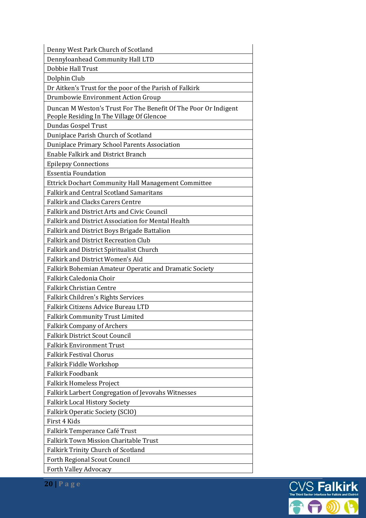| Denny West Park Church of Scotland                              |
|-----------------------------------------------------------------|
| Dennyloanhead Community Hall LTD                                |
| Dobbie Hall Trust                                               |
| Dolphin Club                                                    |
| Dr Aitken's Trust for the poor of the Parish of Falkirk         |
| Drumbowie Environment Action Group                              |
| Duncan M Weston's Trust For The Benefit Of The Poor Or Indigent |
| People Residing In The Village Of Glencoe                       |
| Dundas Gospel Trust                                             |
| Duniplace Parish Church of Scotland                             |
| Duniplace Primary School Parents Association                    |
| <b>Enable Falkirk and District Branch</b>                       |
| <b>Epilepsy Connections</b>                                     |
| <b>Essentia Foundation</b>                                      |
| Ettrick Dochart Community Hall Management Committee             |
| <b>Falkirk and Central Scotland Samaritans</b>                  |
| <b>Falkirk and Clacks Carers Centre</b>                         |
| Falkirk and District Arts and Civic Council                     |
| Falkirk and District Association for Mental Health              |
| Falkirk and District Boys Brigade Battalion                     |
| <b>Falkirk and District Recreation Club</b>                     |
| Falkirk and District Spiritualist Church                        |
| <b>Falkirk and District Women's Aid</b>                         |
| Falkirk Bohemian Amateur Operatic and Dramatic Society          |
| Falkirk Caledonia Choir                                         |
| <b>Falkirk Christian Centre</b>                                 |
| Falkirk Children's Rights Services                              |
| Falkirk Citizens Advice Bureau LTD                              |
| <b>Falkirk Community Trust Limited</b>                          |
| <b>Falkirk Company of Archers</b>                               |
| <b>Falkirk District Scout Council</b>                           |
| <b>Falkirk Environment Trust</b>                                |
| <b>Falkirk Festival Chorus</b>                                  |
| Falkirk Fiddle Workshop                                         |
| <b>Falkirk Foodbank</b>                                         |
| <b>Falkirk Homeless Project</b>                                 |
| Falkirk Larbert Congregation of Jevovahs Witnesses              |
| <b>Falkirk Local History Society</b>                            |
| <b>Falkirk Operatic Society (SCIO)</b>                          |
| First 4 Kids                                                    |
| Falkirk Temperance Café Trust                                   |
| <b>Falkirk Town Mission Charitable Trust</b>                    |
| <b>Falkirk Trinity Church of Scotland</b>                       |
| Forth Regional Scout Council                                    |
| <b>Forth Valley Advocacy</b>                                    |

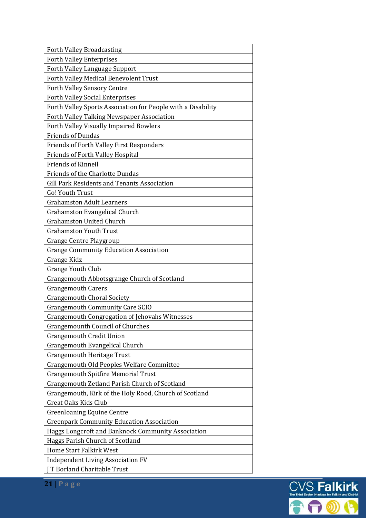| <b>Forth Valley Broadcasting</b>                             |
|--------------------------------------------------------------|
| <b>Forth Valley Enterprises</b>                              |
| Forth Valley Language Support                                |
| Forth Valley Medical Benevolent Trust                        |
| Forth Valley Sensory Centre                                  |
| <b>Forth Valley Social Enterprises</b>                       |
| Forth Valley Sports Association for People with a Disability |
| Forth Valley Talking Newspaper Association                   |
| Forth Valley Visually Impaired Bowlers                       |
| <b>Friends of Dundas</b>                                     |
| <b>Friends of Forth Valley First Responders</b>              |
| <b>Friends of Forth Valley Hospital</b>                      |
| <b>Friends of Kinneil</b>                                    |
| Friends of the Charlotte Dundas                              |
| Gill Park Residents and Tenants Association                  |
| <b>Go! Youth Trust</b>                                       |
| <b>Grahamston Adult Learners</b>                             |
| Grahamston Evangelical Church                                |
| <b>Grahamston United Church</b>                              |
| <b>Grahamston Youth Trust</b>                                |
| <b>Grange Centre Playgroup</b>                               |
| <b>Grange Community Education Association</b>                |
| Grange Kidz                                                  |
| <b>Grange Youth Club</b>                                     |
| Grangemouth Abbotsgrange Church of Scotland                  |
| <b>Grangemouth Carers</b>                                    |
| <b>Grangemouth Choral Society</b>                            |
| <b>Grangemouth Community Care SCIO</b>                       |
| <b>Grangemouth Congregation of Jehovahs Witnesses</b>        |
| <b>Grangemounth Council of Churches</b>                      |
| <b>Grangemouth Credit Union</b>                              |
| Grangemouth Evangelical Church                               |
| <b>Grangemouth Heritage Trust</b>                            |
| Grangemouth Old Peoples Welfare Committee                    |
| <b>Grangemouth Spitfire Memorial Trust</b>                   |
| Grangemouth Zetland Parish Church of Scotland                |
| Grangemouth, Kirk of the Holy Rood, Church of Scotland       |
| <b>Great Oaks Kids Club</b>                                  |
| <b>Greenloaning Equine Centre</b>                            |
| <b>Greenpark Community Education Association</b>             |
| Haggs Longcroft and Banknock Community Association           |
| Haggs Parish Church of Scotland                              |
| Home Start Falkirk West                                      |
| <b>Independent Living Association FV</b>                     |
| J T Borland Charitable Trust                                 |

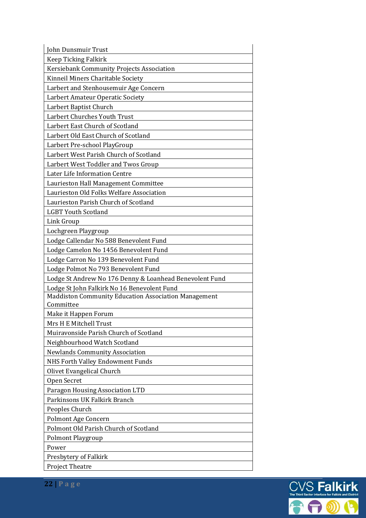| John Dunsmuir Trust                                     |
|---------------------------------------------------------|
| Keep Ticking Falkirk                                    |
| Kersiebank Community Projects Association               |
| Kinneil Miners Charitable Society                       |
| Larbert and Stenhousemuir Age Concern                   |
| Larbert Amateur Operatic Society                        |
| Larbert Baptist Church                                  |
| Larbert Churches Youth Trust                            |
| Larbert East Church of Scotland                         |
| Larbert Old East Church of Scotland                     |
| Larbert Pre-school PlayGroup                            |
| Larbert West Parish Church of Scotland                  |
| Larbert West Toddler and Twos Group                     |
| Later Life Information Centre                           |
| Laurieston Hall Management Committee                    |
| Laurieston Old Folks Welfare Association                |
| Laurieston Parish Church of Scotland                    |
| <b>LGBT Youth Scotland</b>                              |
| Link Group                                              |
| Lochgreen Playgroup                                     |
| Lodge Callendar No 588 Benevolent Fund                  |
| Lodge Camelon No 1456 Benevolent Fund                   |
| Lodge Carron No 139 Benevolent Fund                     |
| Lodge Polmot No 793 Benevolent Fund                     |
| Lodge St Andrew No 176 Denny & Loanhead Benevolent Fund |
| Lodge St John Falkirk No 16 Benevolent Fund             |
| Maddiston Community Education Association Management    |
| Committee                                               |
| Make it Happen Forum                                    |
| Mrs H E Mitchell Trust                                  |
| Muiravonside Parish Church of Scotland                  |
| Neighbourhood Watch Scotland                            |
| <b>Newlands Community Association</b>                   |
| NHS Forth Valley Endowment Funds                        |
| Olivet Evangelical Church                               |
| Open Secret                                             |
| Paragon Housing Association LTD                         |
| Parkinsons UK Falkirk Branch                            |
| Peoples Church                                          |
| Polmont Age Concern                                     |
| Polmont Old Parish Church of Scotland                   |
| <b>Polmont Playgroup</b>                                |
| Power                                                   |
| Presbytery of Falkirk                                   |
| <b>Project Theatre</b>                                  |

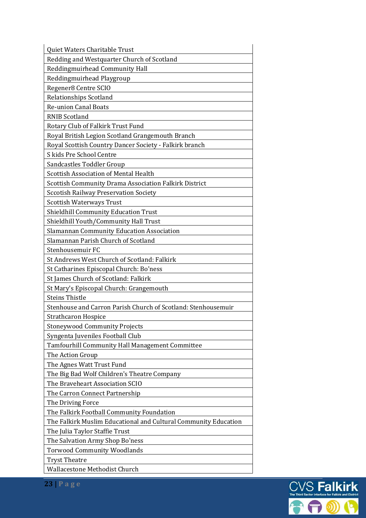| Quiet Waters Charitable Trust                                   |
|-----------------------------------------------------------------|
| Redding and Westquarter Church of Scotland                      |
| Reddingmuirhead Community Hall                                  |
| Reddingmuirhead Playgroup                                       |
| Regener8 Centre SCIO                                            |
| Relationships Scotland                                          |
| <b>Re-union Canal Boats</b>                                     |
| <b>RNIB Scotland</b>                                            |
| Rotary Club of Falkirk Trust Fund                               |
| Royal British Legion Scotland Grangemouth Branch                |
| Royal Scottish Country Dancer Society - Falkirk branch          |
| S kids Pre School Centre                                        |
| Sandcastles Toddler Group                                       |
| <b>Scottish Association of Mental Health</b>                    |
| Scottish Community Drama Association Falkirk District           |
| <b>Sccotish Railway Preservation Society</b>                    |
| <b>Scottish Waterways Trust</b>                                 |
| <b>Shieldhill Community Education Trust</b>                     |
| Shieldhill Youth/Community Hall Trust                           |
| Slamannan Community Education Association                       |
| Slamannan Parish Church of Scotland                             |
| Stenhousemuir FC                                                |
| St Andrews West Church of Scotland: Falkirk                     |
| St Catharines Episcopal Church: Bo'ness                         |
| St James Church of Scotland: Falkirk                            |
| St Mary's Episcopal Church: Grangemouth                         |
| <b>Steins Thistle</b>                                           |
| Stenhouse and Carron Parish Church of Scotland: Stenhousemuir   |
| <b>Strathcaron Hospice</b>                                      |
| <b>Stoneywood Community Projects</b>                            |
| Syngenta Juveniles Football Club                                |
| Tamfourhill Community Hall Management Committee                 |
| The Action Group                                                |
| The Agnes Watt Trust Fund                                       |
| The Big Bad Wolf Children's Theatre Company                     |
| The Braveheart Association SCIO                                 |
| The Carron Connect Partnership                                  |
| The Driving Force                                               |
| The Falkirk Football Community Foundation                       |
| The Falkirk Muslim Educational and Cultural Community Education |
| The Julia Taylor Staffie Trust                                  |
| The Salvation Army Shop Bo'ness                                 |
| <b>Torwood Community Woodlands</b>                              |
| <b>Tryst Theatre</b>                                            |
| <b>Wallacestone Methodist Church</b>                            |

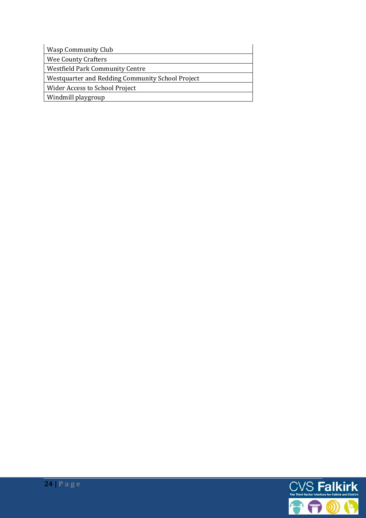| Wasp Community Club                              |
|--------------------------------------------------|
| Wee County Crafters                              |
| <b>Westfield Park Community Centre</b>           |
| Westquarter and Redding Community School Project |
| Wider Access to School Project                   |
| Windmill playgroup                               |

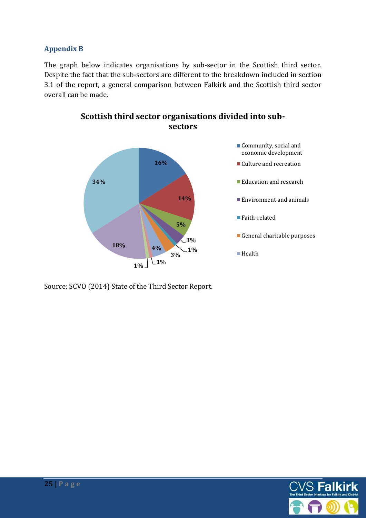#### **Appendix B**

The graph below indicates organisations by sub-sector in the Scottish third sector. Despite the fact that the sub-sectors are different to the breakdown included in section 3.1 of the report, a general comparison between Falkirk and the Scottish third sector overall can be made.



**Scottish third sector organisations divided into subsectors** 

Source: SCVO (2014) State of the Third Sector Report.

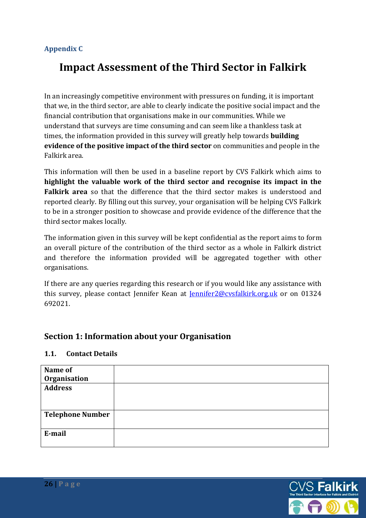#### **Appendix C**

# **Impact Assessment of the Third Sector in Falkirk**

In an increasingly competitive environment with pressures on funding, it is important that we, in the third sector, are able to clearly indicate the positive social impact and the financial contribution that organisations make in our communities. While we understand that surveys are time consuming and can seem like a thankless task at times, the information provided in this survey will greatly help towards **building evidence of the positive impact of the third sector** on communities and people in the Falkirk area.

This information will then be used in a baseline report by CVS Falkirk which aims to **highlight the valuable work of the third sector and recognise its impact in the Falkirk area** so that the difference that the third sector makes is understood and reported clearly. By filling out this survey, your organisation will be helping CVS Falkirk to be in a stronger position to showcase and provide evidence of the difference that the third sector makes locally.

The information given in this survey will be kept confidential as the report aims to form an overall picture of the contribution of the third sector as a whole in Falkirk district and therefore the information provided will be aggregated together with other organisations.

If there are any queries regarding this research or if you would like any assistance with this survey, please contact Jennifer Kean at *Jennifer2@cvsfalkirk.org.uk* or on 01324 692021.

#### **Section 1: Information about your Organisation**

#### **1.1. Contact Details**

| Name of                 |  |
|-------------------------|--|
| Organisation            |  |
| <b>Address</b>          |  |
|                         |  |
|                         |  |
| <b>Telephone Number</b> |  |
|                         |  |
| E-mail                  |  |
|                         |  |
|                         |  |

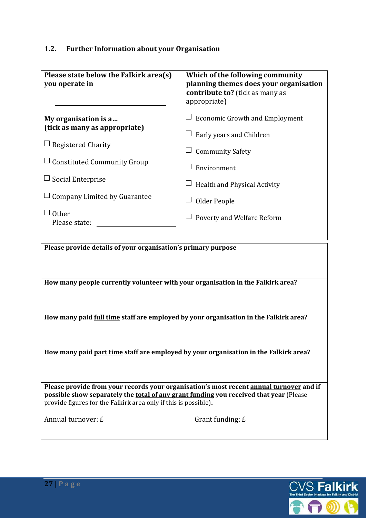# **1.2. Further Information about your Organisation**

| Please state below the Falkirk area(s)<br>you operate in                                                                                                                                                                                             | Which of the following community<br>planning themes does your organisation<br>contribute to? (tick as many as<br>appropriate) |  |
|------------------------------------------------------------------------------------------------------------------------------------------------------------------------------------------------------------------------------------------------------|-------------------------------------------------------------------------------------------------------------------------------|--|
| My organisation is a<br>(tick as many as appropriate)                                                                                                                                                                                                | <b>Economic Growth and Employment</b>                                                                                         |  |
|                                                                                                                                                                                                                                                      | Early years and Children                                                                                                      |  |
| $\Box$ Registered Charity                                                                                                                                                                                                                            | <b>Community Safety</b>                                                                                                       |  |
| $\Box$ Constituted Community Group                                                                                                                                                                                                                   | Environment<br>$\Box$                                                                                                         |  |
| $\Box$ Social Enterprise                                                                                                                                                                                                                             | Health and Physical Activity                                                                                                  |  |
| Company Limited by Guarantee                                                                                                                                                                                                                         | Older People                                                                                                                  |  |
| $\sqcup$ Other<br>Please state:                                                                                                                                                                                                                      | Poverty and Welfare Reform                                                                                                    |  |
| Please provide details of your organisation's primary purpose<br>How many people currently volunteer with your organisation in the Falkirk area?                                                                                                     |                                                                                                                               |  |
| How many paid full time staff are employed by your organisation in the Falkirk area?                                                                                                                                                                 |                                                                                                                               |  |
| How many paid part time staff are employed by your organisation in the Falkirk area?                                                                                                                                                                 |                                                                                                                               |  |
| Please provide from your records your organisation's most recent annual turnover and if<br>possible show separately the total of any grant funding you received that year (Please<br>provide figures for the Falkirk area only if this is possible). |                                                                                                                               |  |
| Annual turnover: £                                                                                                                                                                                                                                   | Grant funding: £                                                                                                              |  |

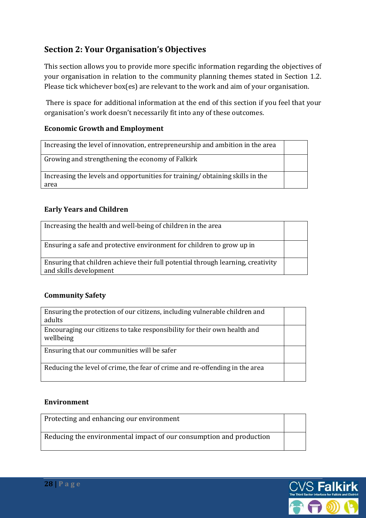# **Section 2: Your Organisation's Objectives**

This section allows you to provide more specific information regarding the objectives of your organisation in relation to the community planning themes stated in Section 1.2. Please tick whichever box(es) are relevant to the work and aim of your organisation.

 There is space for additional information at the end of this section if you feel that your organisation's work doesn't necessarily fit into any of these outcomes.

#### **Economic Growth and Employment**

| Growing and strengthening the economy of Falkirk                                     |  |
|--------------------------------------------------------------------------------------|--|
|                                                                                      |  |
| Increasing the levels and opportunities for training/obtaining skills in the<br>area |  |

#### **Early Years and Children**

| Increasing the health and well-being of children in the area                                               |  |
|------------------------------------------------------------------------------------------------------------|--|
| Ensuring a safe and protective environment for children to grow up in                                      |  |
| Ensuring that children achieve their full potential through learning, creativity<br>and skills development |  |

#### **Community Safety**

| Ensuring the protection of our citizens, including vulnerable children and            |  |
|---------------------------------------------------------------------------------------|--|
| adults                                                                                |  |
| Encouraging our citizens to take responsibility for their own health and<br>wellbeing |  |
| Ensuring that our communities will be safer                                           |  |
| Reducing the level of crime, the fear of crime and re-offending in the area           |  |

#### **Environment**

Protecting and enhancing our environment

Reducing the environmental impact of our consumption and production

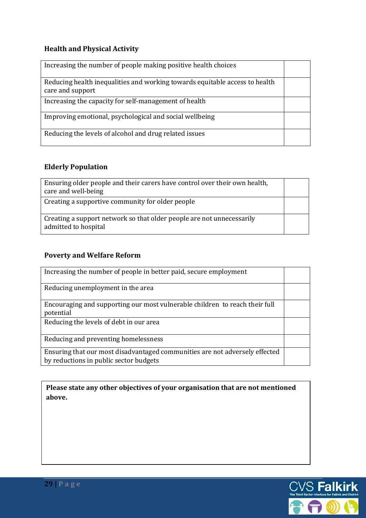# **Health and Physical Activity**

| Increasing the number of people making positive health choices                                  |  |
|-------------------------------------------------------------------------------------------------|--|
| Reducing health inequalities and working towards equitable access to health<br>care and support |  |
| Increasing the capacity for self-management of health                                           |  |
| Improving emotional, psychological and social wellbeing                                         |  |
| Reducing the levels of alcohol and drug related issues                                          |  |

# **Elderly Population**

| Ensuring older people and their carers have control over their own health,<br>care and well-being |  |
|---------------------------------------------------------------------------------------------------|--|
| Creating a supportive community for older people                                                  |  |
| Creating a support network so that older people are not unnecessarily<br>admitted to hospital     |  |

# **Poverty and Welfare Reform**

| Increasing the number of people in better paid, secure employment                                                     |  |
|-----------------------------------------------------------------------------------------------------------------------|--|
| Reducing unemployment in the area                                                                                     |  |
| Encouraging and supporting our most vulnerable children to reach their full<br>potential                              |  |
| Reducing the levels of debt in our area                                                                               |  |
| Reducing and preventing homelessness                                                                                  |  |
| Ensuring that our most disadvantaged communities are not adversely effected<br>by reductions in public sector budgets |  |

**Please state any other objectives of your organisation that are not mentioned above.** 

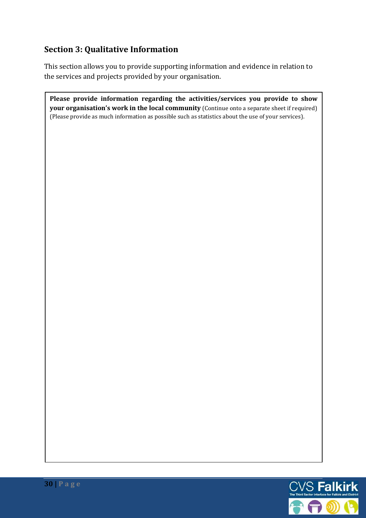# **Section 3: Qualitative Information**

This section allows you to provide supporting information and evidence in relation to the services and projects provided by your organisation.

**Please provide information regarding the activities/services you provide to show your organisation's work in the local community** (Continue onto a separate sheet if required) (Please provide as much information as possible such as statistics about the use of your services).